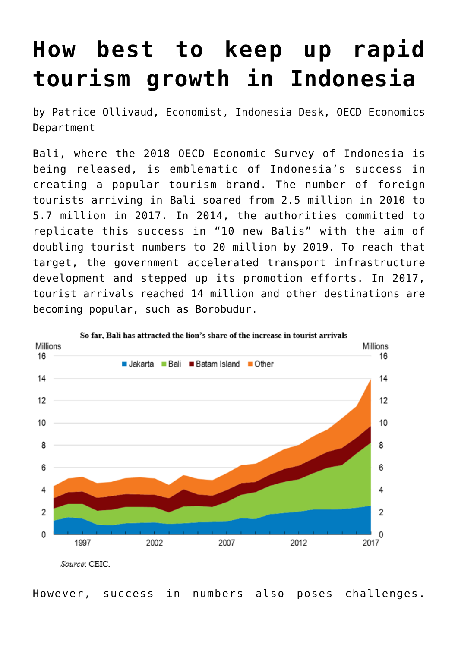## **[How best to keep up rapid](https://oecdecoscope.blog/2018/10/10/how-best-to-keep-up-rapid-tourism-growth-in-indonesia/) [tourism growth in Indonesia](https://oecdecoscope.blog/2018/10/10/how-best-to-keep-up-rapid-tourism-growth-in-indonesia/)**

by Patrice Ollivaud, Economist, Indonesia Desk, OECD Economics Department

Bali, where the [2018 OECD Economic Survey of Indonesia](http://www.oecd.org/eco/surveys/economic-survey-indonesia.htm) is being released, is emblematic of Indonesia's success in creating a popular tourism brand. The number of foreign tourists arriving in Bali soared from 2.5 million in 2010 to 5.7 million in 2017. In 2014, the authorities committed to replicate this success in "10 new Balis" with the aim of doubling tourist numbers to 20 million by 2019. To reach that target, the government accelerated transport infrastructure development and stepped up its promotion efforts. In 2017, tourist arrivals reached 14 million and other destinations are becoming popular, such as Borobudur.



However, success in numbers also poses challenges.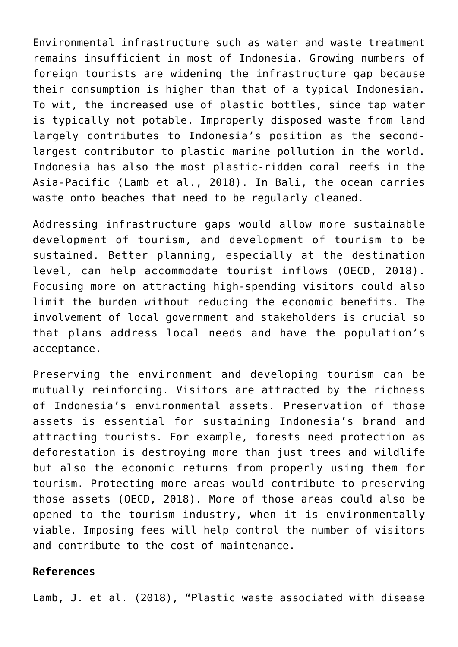Environmental infrastructure such as water and waste treatment remains insufficient in most of Indonesia. Growing numbers of foreign tourists are widening the infrastructure gap because their consumption is higher than that of a typical Indonesian. To wit, the increased use of plastic bottles, since tap water is typically not potable. Improperly disposed waste from land largely contributes to Indonesia's position as the secondlargest contributor to plastic marine pollution in the world. Indonesia has also the most plastic-ridden coral reefs in the Asia-Pacific (Lamb et al., 2018). In Bali, the ocean carries waste onto beaches that need to be regularly cleaned.

Addressing infrastructure gaps would allow more sustainable development of tourism, and development of tourism to be sustained. Better planning, especially at the destination level, can help accommodate tourist inflows (OECD, 2018). Focusing more on attracting high-spending visitors could also limit the burden without reducing the economic benefits. The involvement of local government and stakeholders is crucial so that plans address local needs and have the population's acceptance.

Preserving the environment and developing tourism can be mutually reinforcing. Visitors are attracted by the richness of Indonesia's environmental assets. Preservation of those assets is essential for sustaining Indonesia's brand and attracting tourists. For example, forests need protection as deforestation is destroying more than just trees and wildlife but also the economic returns from properly using them for tourism. Protecting more areas would contribute to preserving those assets (OECD, 2018). More of those areas could also be opened to the tourism industry, when it is environmentally viable. Imposing fees will help control the number of visitors and contribute to the cost of maintenance.

## **References**

Lamb, J. et al. (2018), "Plastic waste associated with disease